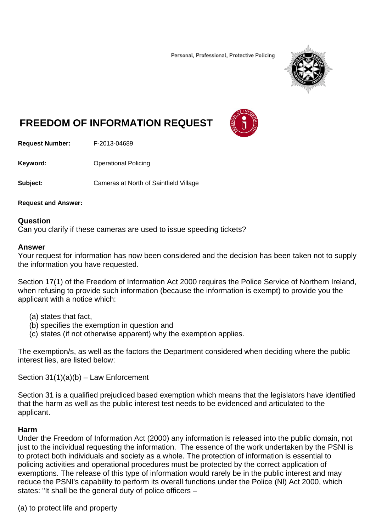Personal, Professional, Protective Policing



# **FREEDOM OF INFORMATION REQUEST**

**Request Number:** F-2013-04689

**Keyword: C**Derational Policing

**Subject:** Cameras at North of Saintfield Village

**Request and Answer:** 

#### **Question**

Can you clarify if these cameras are used to issue speeding tickets?

#### **Answer**

Your request for information has now been considered and the decision has been taken not to supply the information you have requested.

Section 17(1) of the Freedom of Information Act 2000 requires the Police Service of Northern Ireland, when refusing to provide such information (because the information is exempt) to provide you the applicant with a notice which:

- (a) states that fact,
- (b) specifies the exemption in question and
- (c) states (if not otherwise apparent) why the exemption applies.

The exemption/s, as well as the factors the Department considered when deciding where the public interest lies, are listed below:

Section 31(1)(a)(b) – Law Enforcement

Section 31 is a qualified prejudiced based exemption which means that the legislators have identified that the harm as well as the public interest test needs to be evidenced and articulated to the applicant.

#### **Harm**

Under the Freedom of Information Act (2000) any information is released into the public domain, not just to the individual requesting the information. The essence of the work undertaken by the PSNI is to protect both individuals and society as a whole. The protection of information is essential to policing activities and operational procedures must be protected by the correct application of exemptions. The release of this type of information would rarely be in the public interest and may reduce the PSNI's capability to perform its overall functions under the Police (Nl) Act 2000, which states: "It shall be the general duty of police officers –

(a) to protect life and property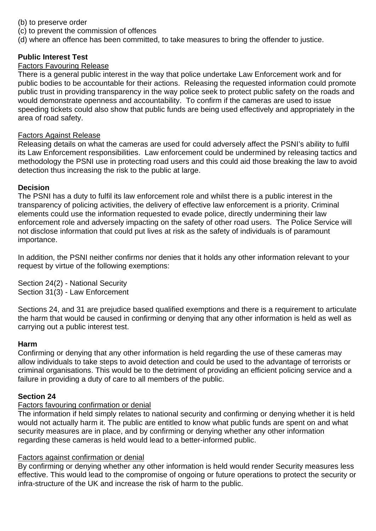- (b) to preserve order
- (c) to prevent the commission of offences
- (d) where an offence has been committed, to take measures to bring the offender to justice.

### **Public Interest Test**

#### Factors Favouring Release

There is a general public interest in the way that police undertake Law Enforcement work and for public bodies to be accountable for their actions. Releasing the requested information could promote public trust in providing transparency in the way police seek to protect public safety on the roads and would demonstrate openness and accountability. To confirm if the cameras are used to issue speeding tickets could also show that public funds are being used effectively and appropriately in the area of road safety.

#### Factors Against Release

Releasing details on what the cameras are used for could adversely affect the PSNI's ability to fulfil its Law Enforcement responsibilities. Law enforcement could be undermined by releasing tactics and methodology the PSNI use in protecting road users and this could aid those breaking the law to avoid detection thus increasing the risk to the public at large.

#### **Decision**

The PSNI has a duty to fulfil its law enforcement role and whilst there is a public interest in the transparency of policing activities, the delivery of effective law enforcement is a priority. Criminal elements could use the information requested to evade police, directly undermining their law enforcement role and adversely impacting on the safety of other road users. The Police Service will not disclose information that could put lives at risk as the safety of individuals is of paramount importance.

In addition, the PSNI neither confirms nor denies that it holds any other information relevant to your request by virtue of the following exemptions:

Section 24(2) - National Security Section 31(3) - Law Enforcement

Sections 24, and 31 are prejudice based qualified exemptions and there is a requirement to articulate the harm that would be caused in confirming or denying that any other information is held as well as carrying out a public interest test.

#### **Harm**

Confirming or denying that any other information is held regarding the use of these cameras may allow individuals to take steps to avoid detection and could be used to the advantage of terrorists or criminal organisations. This would be to the detriment of providing an efficient policing service and a failure in providing a duty of care to all members of the public.

## **Section 24**

#### Factors favouring confirmation or denial

The information if held simply relates to national security and confirming or denying whether it is held would not actually harm it. The public are entitled to know what public funds are spent on and what security measures are in place, and by confirming or denying whether any other information regarding these cameras is held would lead to a better-informed public.

#### Factors against confirmation or denial

By confirming or denying whether any other information is held would render Security measures less effective. This would lead to the compromise of ongoing or future operations to protect the security or infra-structure of the UK and increase the risk of harm to the public.